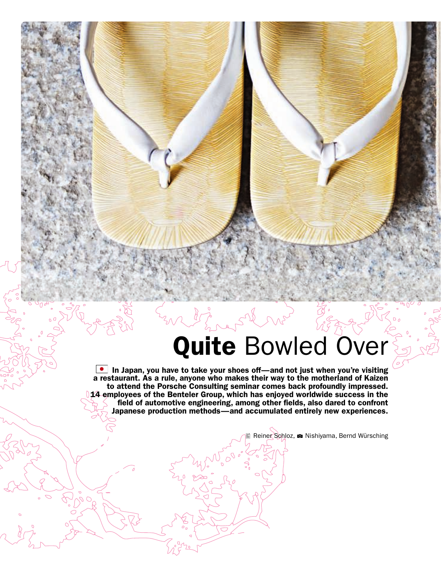## Quite Bowled Over

In Japan, you have to take your shoes off—and not just when you're visiting a restaurant. As a rule, anyone who makes their way to the motherland of Kaizen to attend the Porsche Consulting seminar comes back profoundly impressed. 14 employees of the Benteler Group, which has enjoyed worldwide success in the field of automotive engineering, among other fields, also dared to confront Japanese production methods—and accumulated entirely new experiences.

Reiner Schloz, a Nishiyama, Bernd Würsching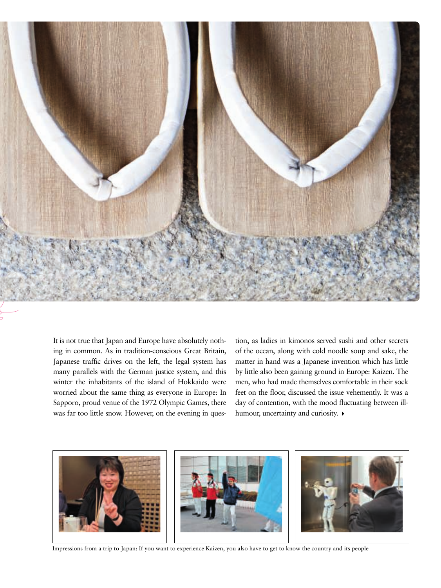

It is not true that Japan and Europe have absolutely nothing in common. As in tradition-conscious Great Britain, Japanese traffic drives on the left, the legal system has many parallels with the German justice system, and this winter the inhabitants of the island of Hokkaido were worried about the same thing as everyone in Europe: In Sapporo, proud venue of the 1972 Olympic Games, there was far too little snow. However, on the evening in question, as ladies in kimonos served sushi and other secrets of the ocean, along with cold noodle soup and sake, the matter in hand was a Japanese invention which has little by little also been gaining ground in Europe: Kaizen. The men, who had made themselves comfortable in their sock feet on the floor, discussed the issue vehemently. It was a day of contention, with the mood fluctuating between illhumour, uncertainty and curiosity.



Impressions from a trip to Japan: If you want to experience Kaizen, you also have to get to know the country and its people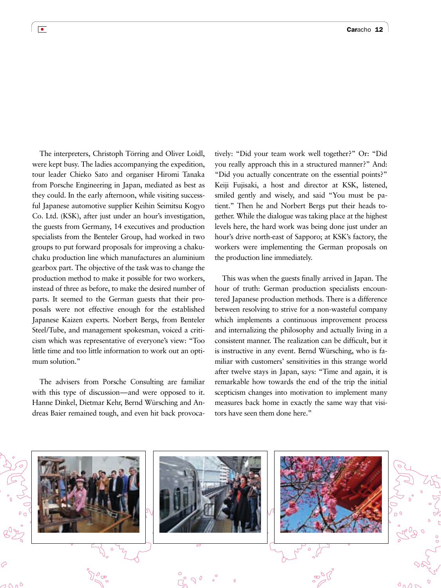The interpreters, Christoph Törring and Oliver Loidl, were kept busy. The ladies accompanying the expedition, tour leader Chieko Sato and organiser Hiromi Tanaka from Porsche Engineering in Japan, mediated as best as they could. In the early afternoon, while visiting successful Japanese automotive supplier Keihin Seimitsu Kogyo Co. Ltd. (KSK), after just under an hour's investigation, the guests from Germany, 14 executives and production specialists from the Benteler Group, had worked in two groups to put forward proposals for improving a chakuchaku production line which manufactures an aluminium gearbox part. The objective of the task was to change the production method to make it possible for two workers, instead of three as before, to make the desired number of parts. It seemed to the German guests that their proposals were not effective enough for the established Japanese Kaizen experts. Norbert Bergs, from Benteler Steel/Tube, and management spokesman, voiced a criticism which was representative of everyone's view: "Too little time and too little information to work out an optimum solution."

The advisers from Porsche Consulting are familiar with this type of discussion—and were opposed to it. Hanne Dinkel, Dietmar Kehr, Bernd Würsching and Andreas Baier remained tough, and even hit back provocatively: "Did your team work well together?" Or: "Did you really approach this in a structured manner?" And: "Did you actually concentrate on the essential points?" Keiji Fujisaki, a host and director at KSK, listened, smiled gently and wisely, and said "You must be patient." Then he and Norbert Bergs put their heads together. While the dialogue was taking place at the highest levels here, the hard work was being done just under an hour's drive north-east of Sapporo; at KSK's factory, the workers were implementing the German proposals on the production line immediately.

This was when the guests finally arrived in Japan. The hour of truth: German production specialists encountered Japanese production methods. There is a difference between resolving to strive for a non-wasteful company which implements a continuous improvement process and internalizing the philosophy and actually living in a consistent manner. The realization can be difficult, but it is instructive in any event. Bernd Würsching, who is familiar with customers' sensitivities in this strange world after twelve stays in Japan, says: "Time and again, it is remarkable how towards the end of the trip the initial scepticism changes into motivation to implement many measures back home in exactly the same way that visitors have seen them done here."



 $\bullet$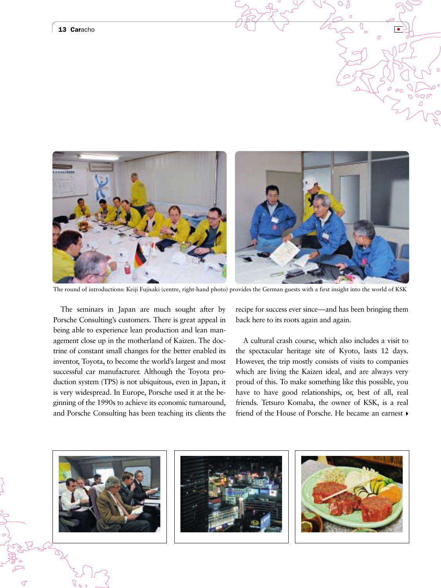## 13 Caracho



The round of introductions: Keiji Fujisaki (centre, right-hand photo) provides the German guests with a first insight into the world of KSK

The seminars in Japan are much sought after by Porsche Consulting's customers. There is great appeal in being able to experience lean production and lean management close up in the motherland of Kaizen. The doctrine of constant small changes for the better enabled its inventor, Toyota, to become the world's largest and most successful car manufacturer. Although the Toyota production system (TPS) is not ubiquitous, even in Japan, it is very widespread. In Europe, Porsche used it at the beginning of the 1990s to achieve its economic turnaround, and Porsche Consulting has been teaching its clients the recipe for success ever since—and has been bringing them back here to its roots again and again.

A cultural crash course, which also includes a visit to the spectacular heritage site of Kyoto, lasts 12 days. However, the trip mostly consists of visits to companies which are living the Kaizen ideal, and are always very proud of this. To make something like this possible, you have to have good relationships, or, best of all, real friends. Tetsuro Komaba, the owner of KSK, is a real friend of the House of Porsche. He became an earnest  $\rho$ 

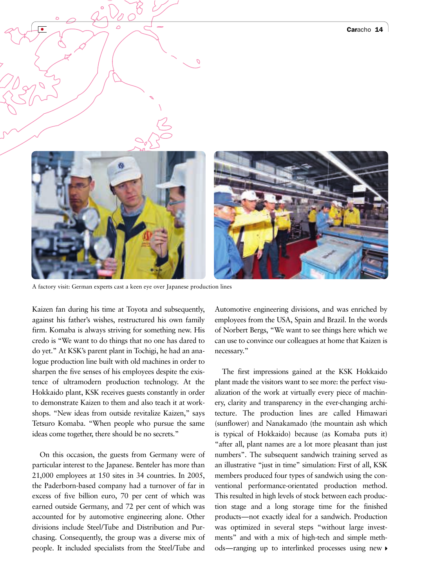

A factory visit: German experts cast a keen eye over Japanese production lines

Kaizen fan during his time at Toyota and subsequently, against his father's wishes, restructured his own family firm. Komaba is always striving for something new. His credo is "We want to do things that no one has dared to do yet." At KSK's parent plant in Tochigi, he had an analogue production line built with old machines in order to sharpen the five senses of his employees despite the existence of ultramodern production technology. At the Hokkaido plant, KSK receives guests constantly in order to demonstrate Kaizen to them and also teach it at workshops. "New ideas from outside revitalize Kaizen," says Tetsuro Komaba. "When people who pursue the same ideas come together, there should be no secrets."

On this occasion, the guests from Germany were of particular interest to the Japanese. Benteler has more than 21,000 employees at 150 sites in 34 countries. In 2005, the Paderborn-based company had a turnover of far in excess of five billion euro, 70 per cent of which was earned outside Germany, and 72 per cent of which was accounted for by automotive engineering alone. Other divisions include Steel/Tube and Distribution and Purchasing. Consequently, the group was a diverse mix of people. It included specialists from the Steel/Tube and

Automotive engineering divisions, and was enriched by employees from the USA, Spain and Brazil. In the words of Norbert Bergs, "We want to see things here which we can use to convince our colleagues at home that Kaizen is necessary."

The first impressions gained at the KSK Hokkaido plant made the visitors want to see more: the perfect visualization of the work at virtually every piece of machinery, clarity and transparency in the ever-changing architecture. The production lines are called Himawari (sunflower) and Nanakamado (the mountain ash which is typical of Hokkaido) because (as Komaba puts it) "after all, plant names are a lot more pleasant than just numbers". The subsequent sandwich training served as an illustrative "just in time" simulation: First of all, KSK members produced four types of sandwich using the conventional performance-orientated production method. This resulted in high levels of stock between each production stage and a long storage time for the finished products—not exactly ideal for a sandwich. Production was optimized in several steps "without large investments" and with a mix of high-tech and simple methods—ranging up to interlinked processes using new A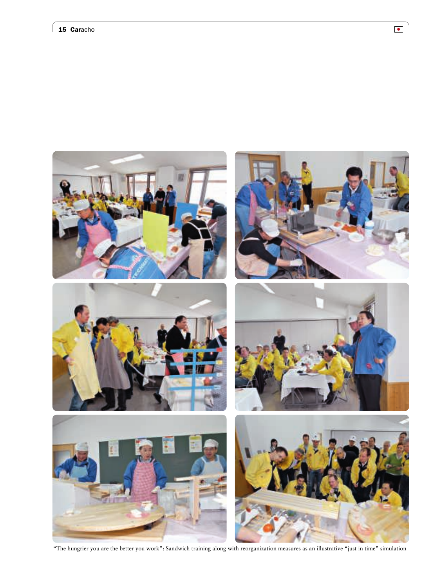

"The hungrier you are the better you work": Sandwich training along with reorganization measures as an illustrative "just in time" simulation

 $\boxed{\bullet}$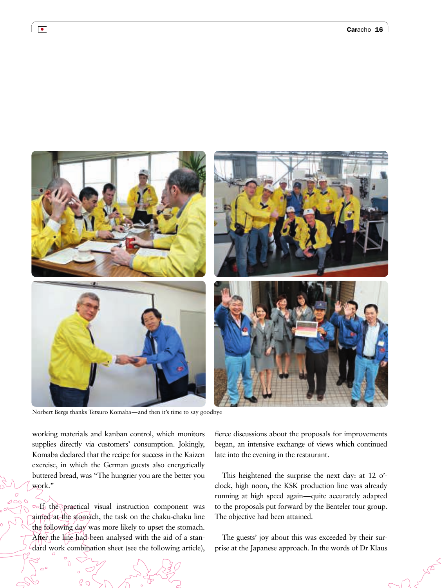

Norbert Bergs thanks Tetsuro Komaba—and then it's time to say goodbye

working materials and kanban control, which monitors supplies directly via customers' consumption. Jokingly, Komaba declared that the recipe for success in the Kaizen exercise, in which the German guests also energetically buttered bread, was "The hungrier you are the better you work."

 $\circ$ If the practical visual instruction component was aimed at the stomach, the task on the chaku-chaku line the following day was more likely to upset the stomach. After the line had been analysed with the aid of a standard work combination sheet (see the following article),

fierce discussions about the proposals for improvements began, an intensive exchange of views which continued late into the evening in the restaurant.

This heightened the surprise the next day: at 12 o' clock, high noon, the KSK production line was already running at high speed again—quite accurately adapted to the proposals put forward by the Benteler tour group. The objective had been attained.

The guests' joy about this was exceeded by their surprise at the Japanese approach. In the words of Dr Klaus

 $\bullet$